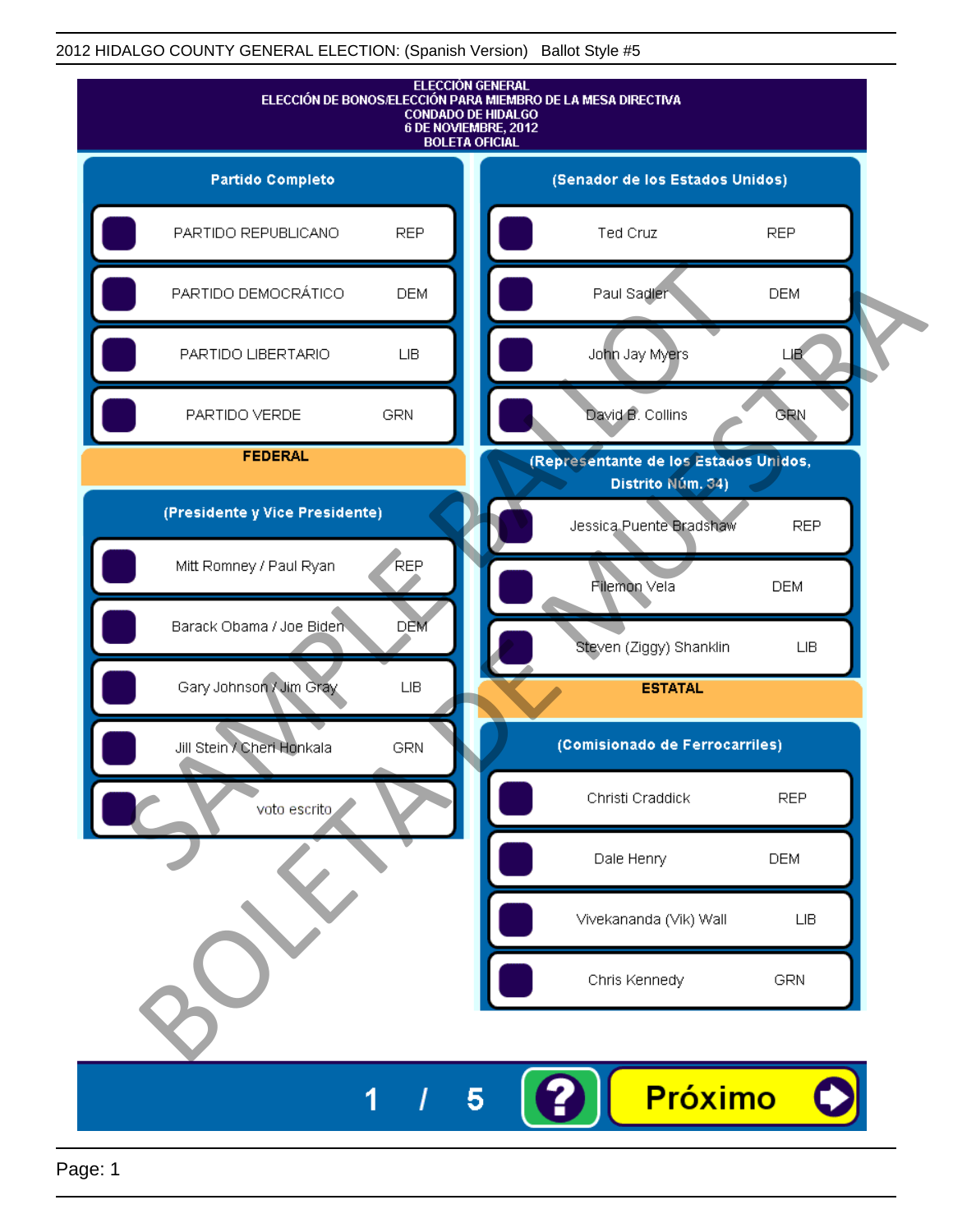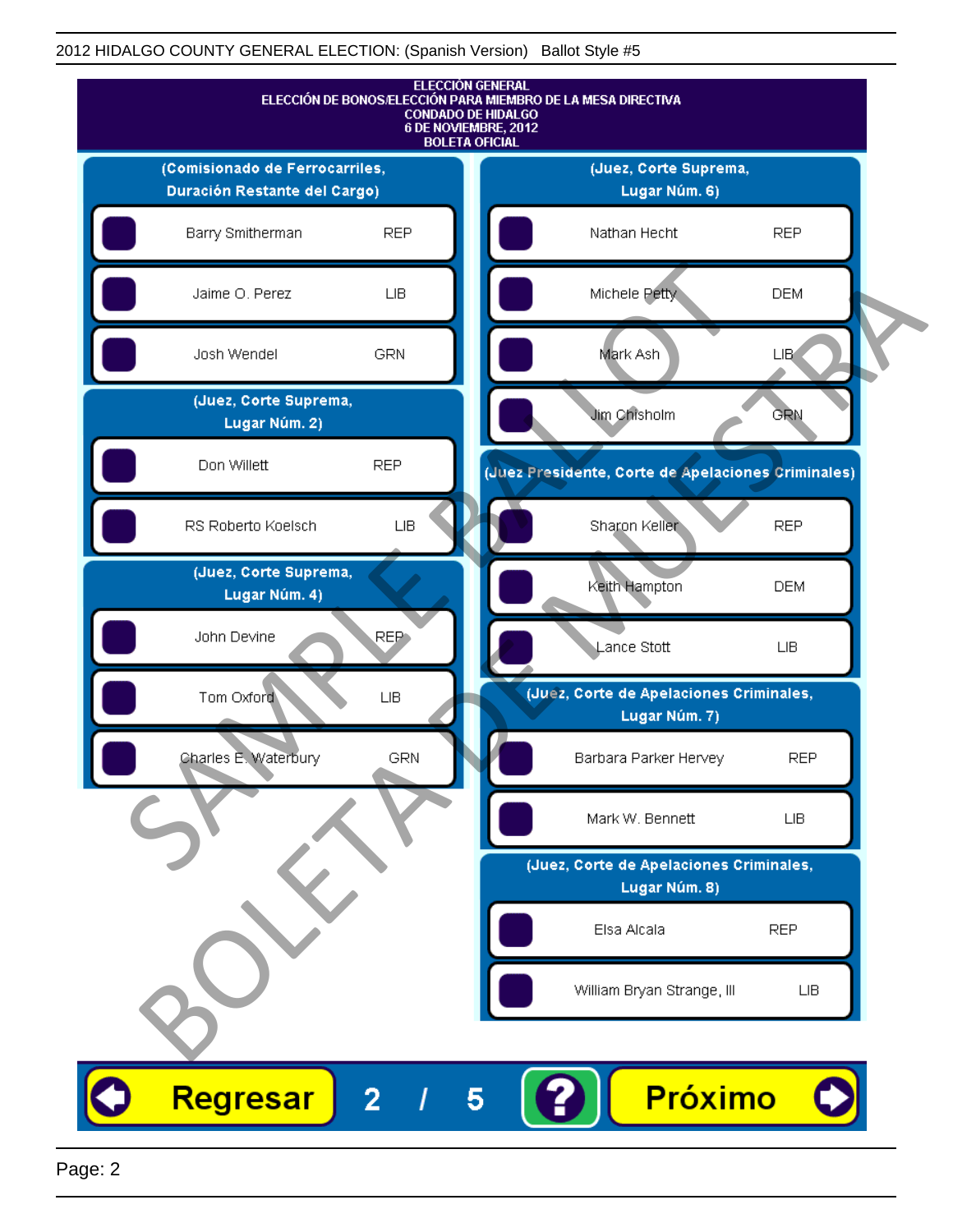

Page: 2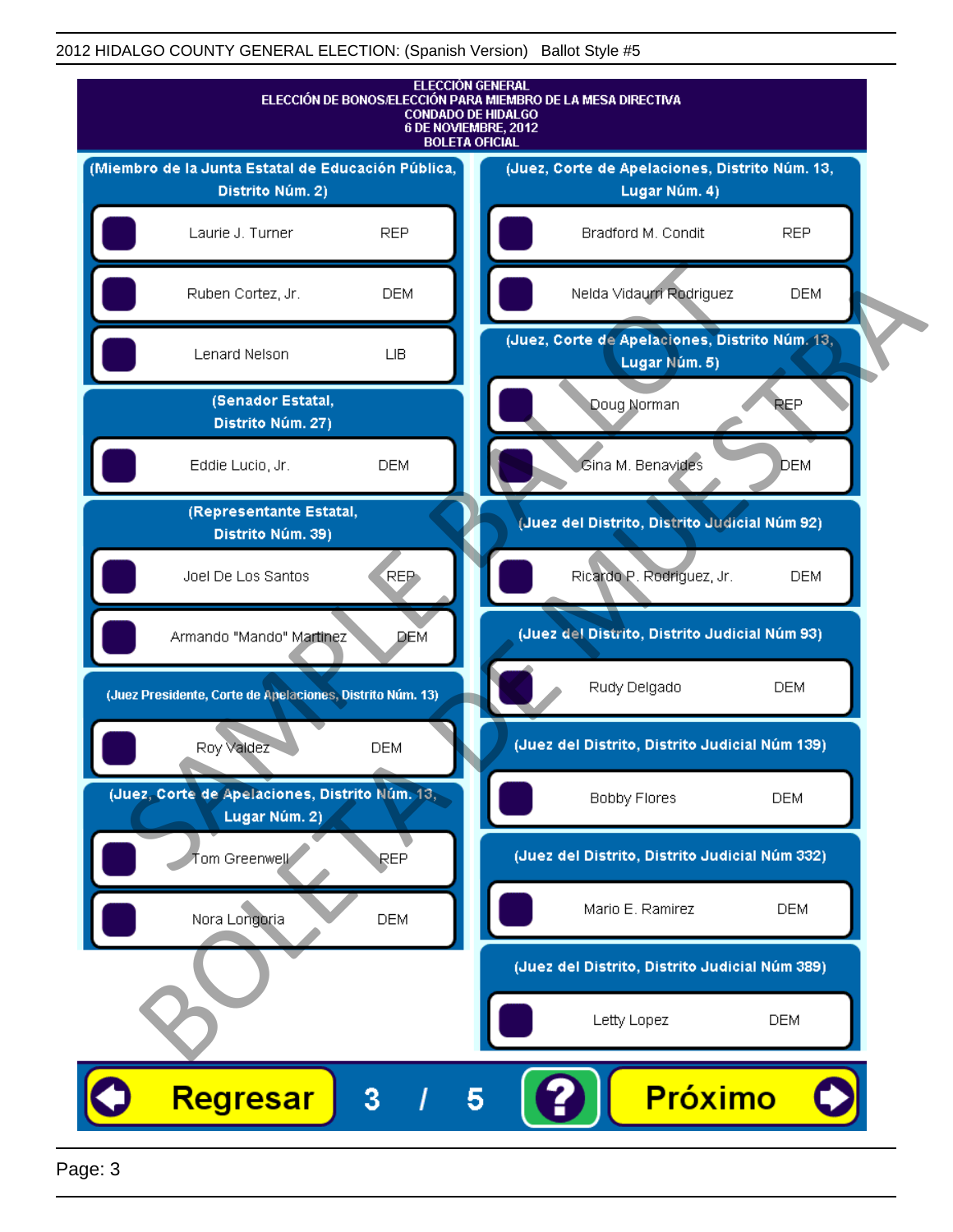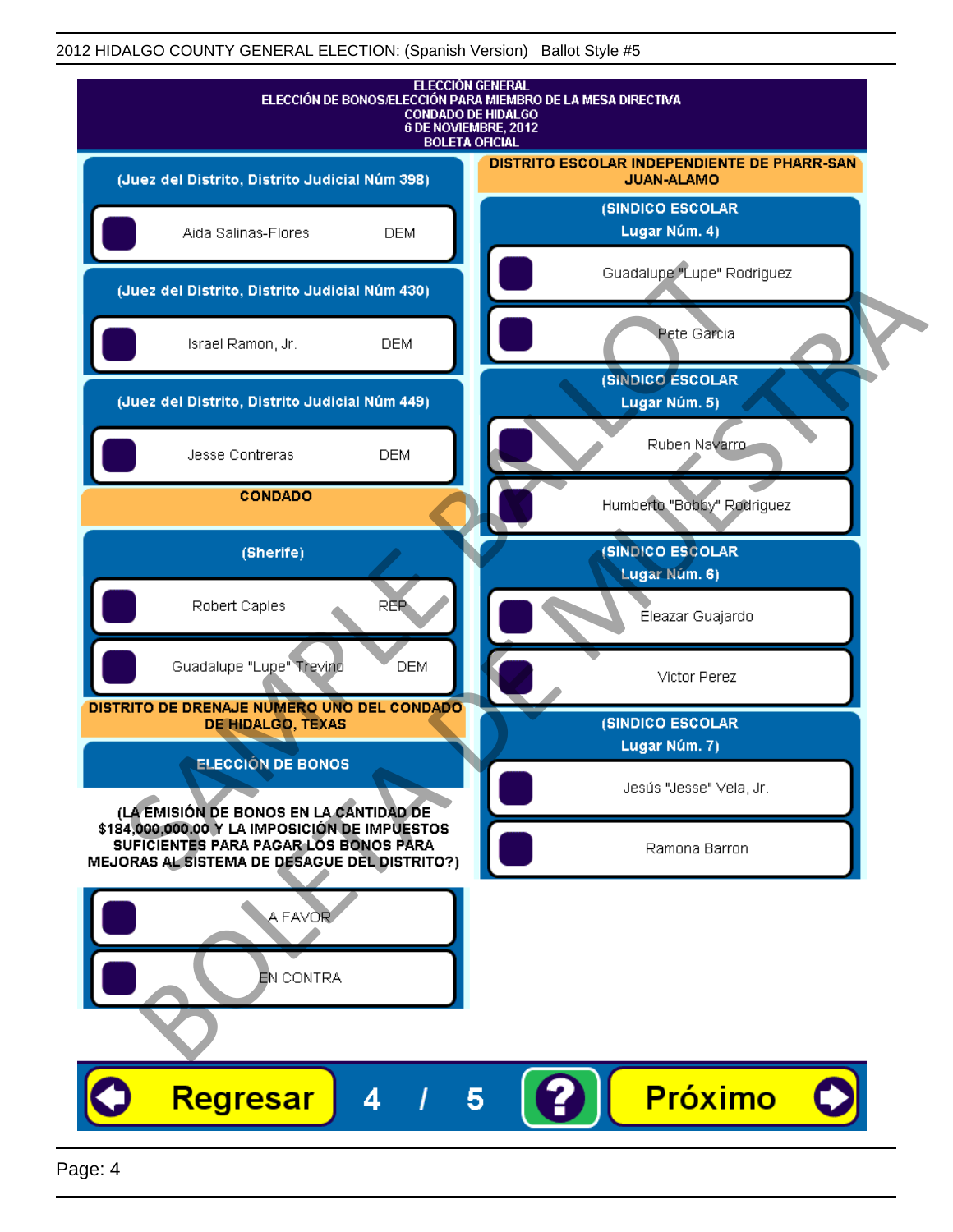

Page: 4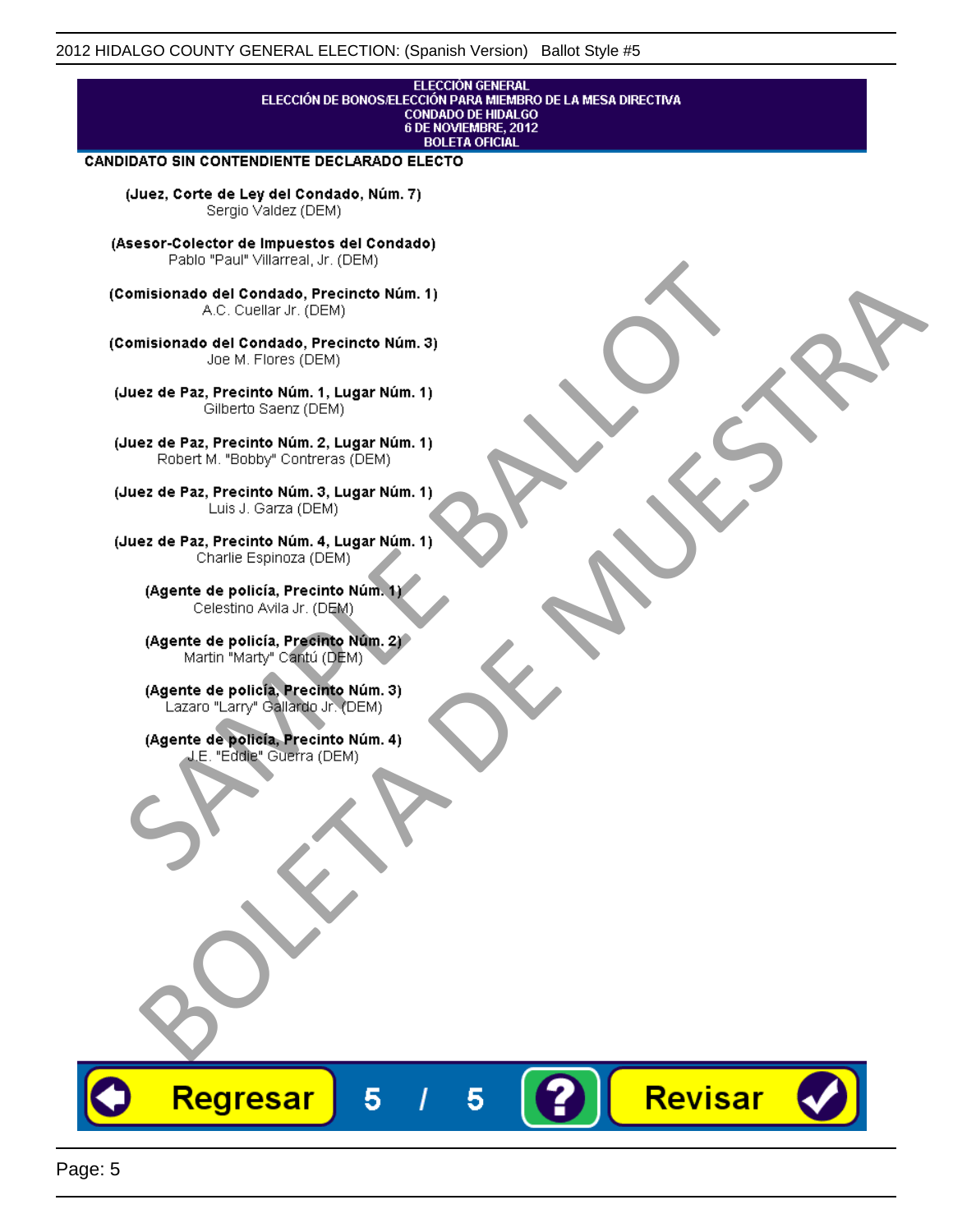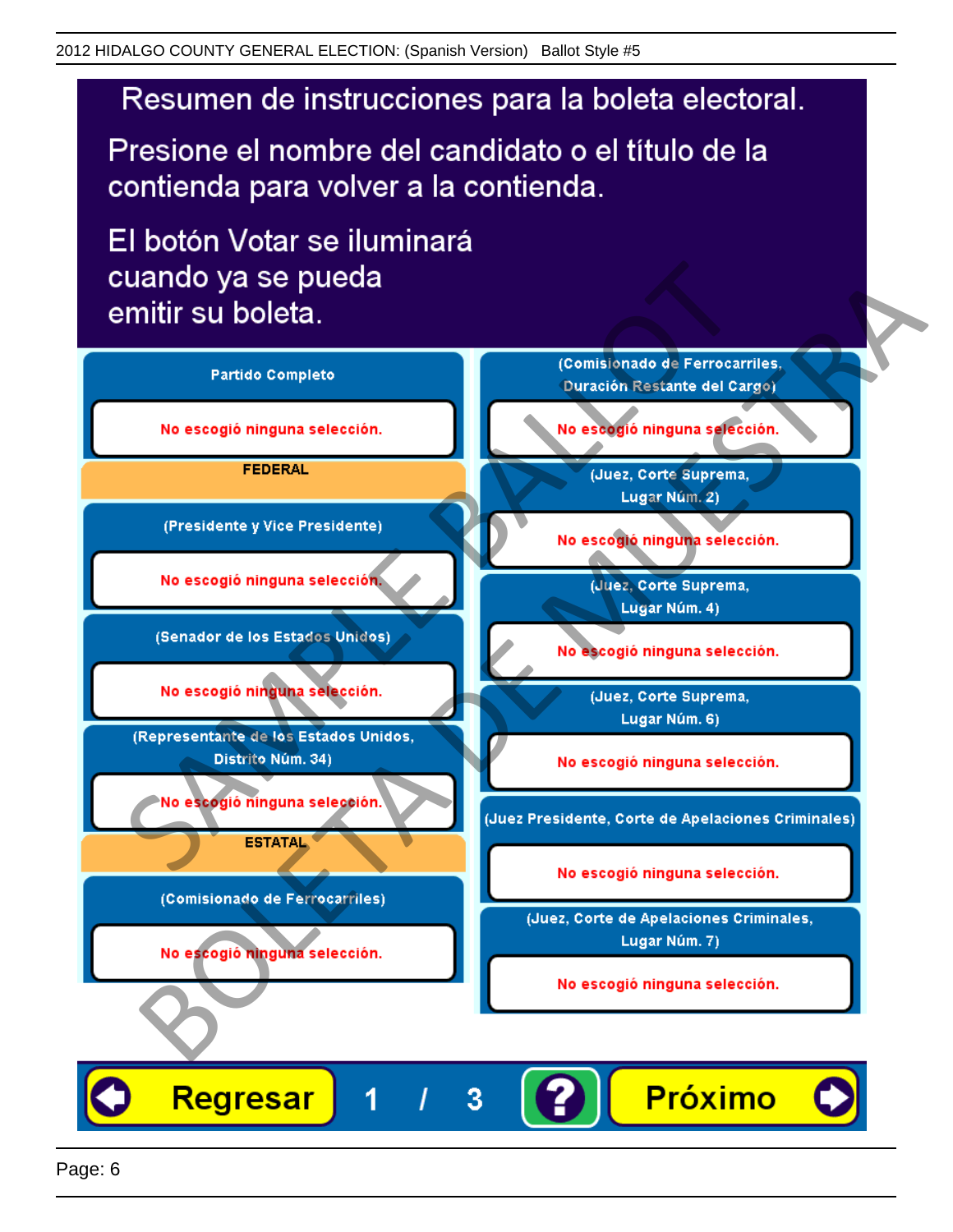# Resumen de instrucciones para la boleta electoral.

Presione el nombre del candidato o el título de la contienda para volver a la contienda.

El botón Votar se iluminará

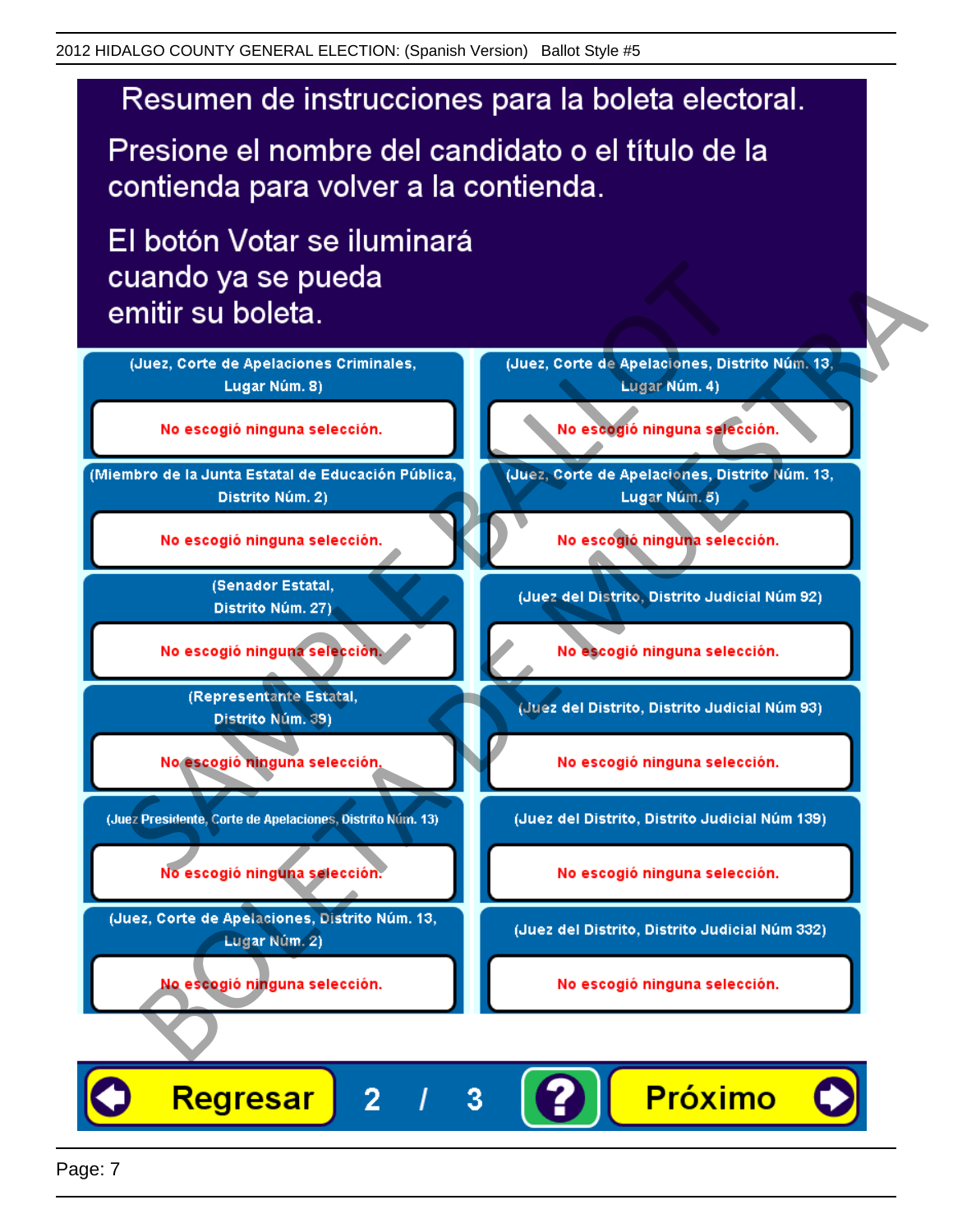# Resumen de instrucciones para la boleta electoral.

Presione el nombre del candidato o el título de la contienda para volver a la contienda.

El botón Votar se iluminará